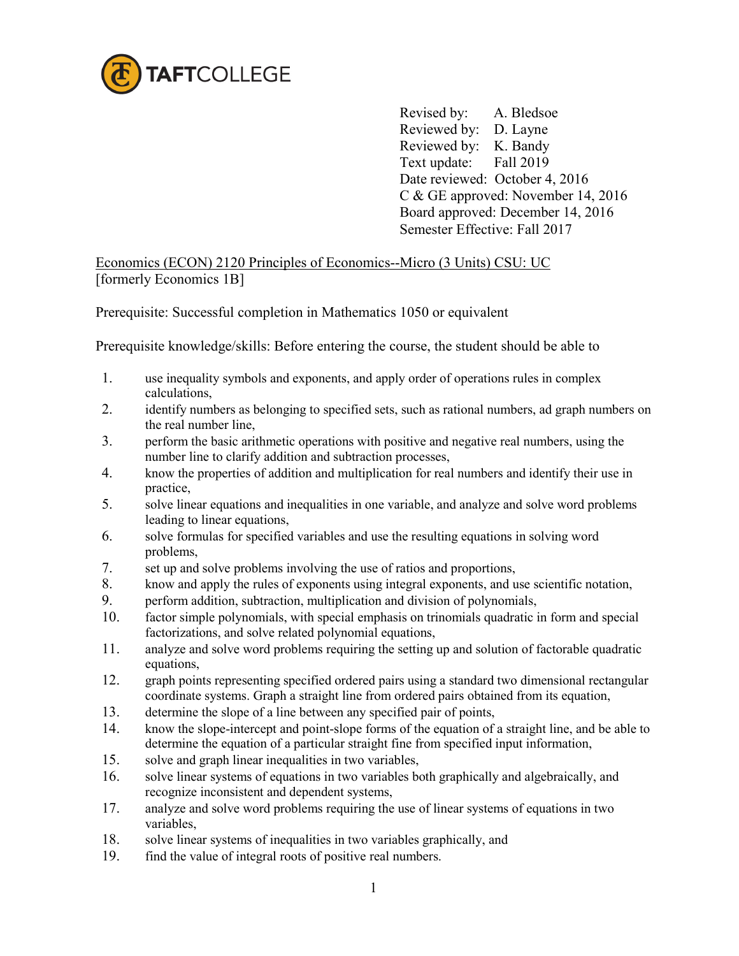

 Revised by: A. Bledsoe Reviewed by: D. Layne Reviewed by: K. Bandy Text update: Fall 2019 Date reviewed: October 4, 2016 C & GE approved: November 14, 2016 Board approved: December 14, 2016 Semester Effective: Fall 2017

Economics (ECON) 2120 Principles of Economics--Micro (3 Units) CSU: UC [formerly Economics 1B]

Prerequisite: Successful completion in Mathematics 1050 or equivalent

Prerequisite knowledge/skills: Before entering the course, the student should be able to

- 1. use inequality symbols and exponents, and apply order of operations rules in complex calculations,
- 2. identify numbers as belonging to specified sets, such as rational numbers, ad graph numbers on the real number line,
- 3. perform the basic arithmetic operations with positive and negative real numbers, using the number line to clarify addition and subtraction processes,
- 4. know the properties of addition and multiplication for real numbers and identify their use in practice,
- 5. solve linear equations and inequalities in one variable, and analyze and solve word problems leading to linear equations,
- 6. solve formulas for specified variables and use the resulting equations in solving word problems,
- 7. set up and solve problems involving the use of ratios and proportions,
- 8. know and apply the rules of exponents using integral exponents, and use scientific notation,
- 9. perform addition, subtraction, multiplication and division of polynomials,
- 10. factor simple polynomials, with special emphasis on trinomials quadratic in form and special factorizations, and solve related polynomial equations,
- 11. analyze and solve word problems requiring the setting up and solution of factorable quadratic equations,
- 12. graph points representing specified ordered pairs using a standard two dimensional rectangular coordinate systems. Graph a straight line from ordered pairs obtained from its equation,
- 13. determine the slope of a line between any specified pair of points,
- 14. know the slope-intercept and point-slope forms of the equation of a straight line, and be able to determine the equation of a particular straight fine from specified input information,
- 15. solve and graph linear inequalities in two variables,
- 16. solve linear systems of equations in two variables both graphically and algebraically, and recognize inconsistent and dependent systems,
- 17. analyze and solve word problems requiring the use of linear systems of equations in two variables,
- 18. solve linear systems of inequalities in two variables graphically, and
- 19. find the value of integral roots of positive real numbers.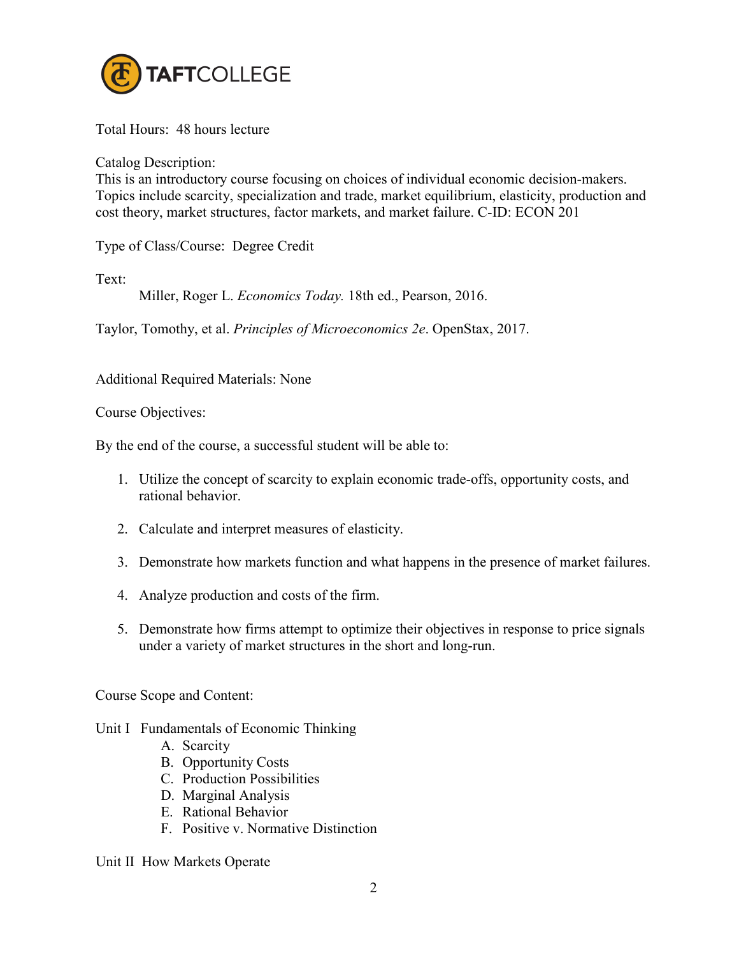

Total Hours: 48 hours lecture

Catalog Description:

This is an introductory course focusing on choices of individual economic decision-makers. Topics include scarcity, specialization and trade, market equilibrium, elasticity, production and cost theory, market structures, factor markets, and market failure. C-ID: ECON 201

Type of Class/Course: Degree Credit

Text:

Miller, Roger L. *Economics Today.* 18th ed., Pearson, 2016.

Taylor, Tomothy, et al. *Principles of Microeconomics 2e*. OpenStax, 2017.

Additional Required Materials: None

Course Objectives:

By the end of the course, a successful student will be able to:

- 1. Utilize the concept of scarcity to explain economic trade-offs, opportunity costs, and rational behavior.
- 2. Calculate and interpret measures of elasticity.
- 3. Demonstrate how markets function and what happens in the presence of market failures.
- 4. Analyze production and costs of the firm.
- 5. Demonstrate how firms attempt to optimize their objectives in response to price signals under a variety of market structures in the short and long-run.

Course Scope and Content:

- Unit I Fundamentals of Economic Thinking
	- A. Scarcity
	- B. Opportunity Costs
	- C. Production Possibilities
	- D. Marginal Analysis
	- E. Rational Behavior
	- F. Positive v. Normative Distinction

Unit II How Markets Operate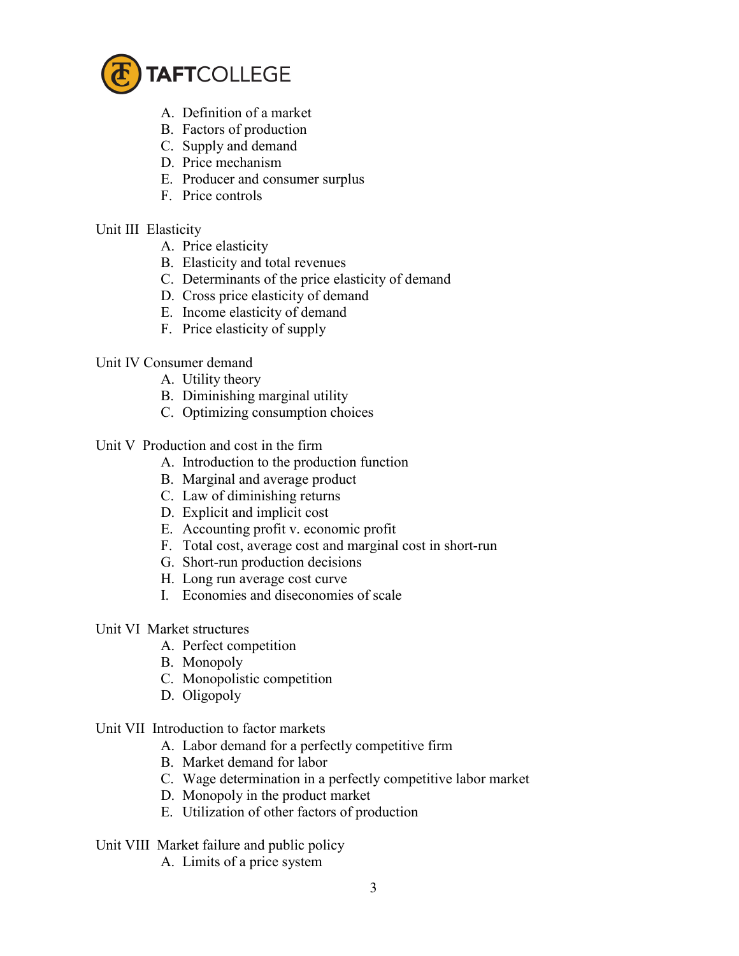

- A. Definition of a market
- B. Factors of production
- C. Supply and demand
- D. Price mechanism
- E. Producer and consumer surplus
- F. Price controls

# Unit III Elasticity

- A. Price elasticity
- B. Elasticity and total revenues
- C. Determinants of the price elasticity of demand
- D. Cross price elasticity of demand
- E. Income elasticity of demand
- F. Price elasticity of supply

# Unit IV Consumer demand

- A. Utility theory
- B. Diminishing marginal utility
- C. Optimizing consumption choices

# Unit V Production and cost in the firm

- A. Introduction to the production function
- B. Marginal and average product
- C. Law of diminishing returns
- D. Explicit and implicit cost
- E. Accounting profit v. economic profit
- F. Total cost, average cost and marginal cost in short-run
- G. Short-run production decisions
- H. Long run average cost curve
- I. Economies and diseconomies of scale

# Unit VI Market structures

- A. Perfect competition
- B. Monopoly
- C. Monopolistic competition
- D. Oligopoly

# Unit VII Introduction to factor markets

- A. Labor demand for a perfectly competitive firm
- B. Market demand for labor
- C. Wage determination in a perfectly competitive labor market
- D. Monopoly in the product market
- E. Utilization of other factors of production

# Unit VIII Market failure and public policy

A. Limits of a price system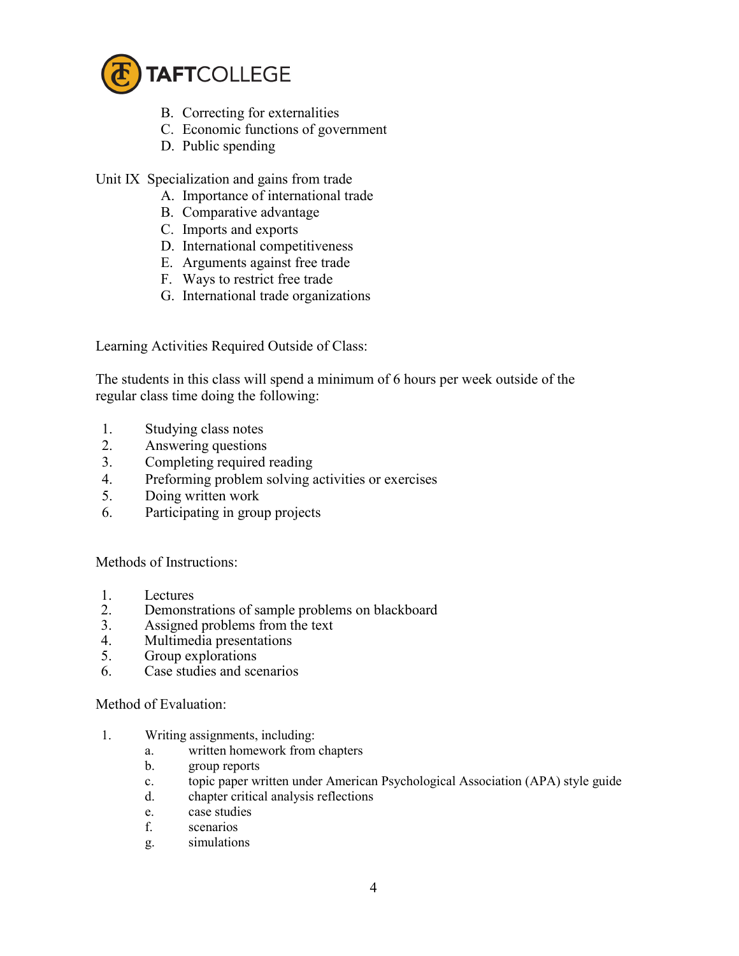

- B. Correcting for externalities
- C. Economic functions of government
- D. Public spending

Unit IX Specialization and gains from trade

- A. Importance of international trade
- B. Comparative advantage
- C. Imports and exports
- D. International competitiveness
- E. Arguments against free trade
- F. Ways to restrict free trade
- G. International trade organizations

Learning Activities Required Outside of Class:

The students in this class will spend a minimum of 6 hours per week outside of the regular class time doing the following:

- 1. Studying class notes
- 2. Answering questions
- 3. Completing required reading
- 4. Preforming problem solving activities or exercises
- 5. Doing written work
- 6. Participating in group projects

Methods of Instructions:

- 1. Lectures<br>2. Demonst
- 2. Demonstrations of sample problems on blackboard<br>3. Assigned problems from the text
- Assigned problems from the text
- 4. Multimedia presentations
- 5. Group explorations
- 6. Case studies and scenarios

#### Method of Evaluation:

- 1. Writing assignments, including:
	- a. written homework from chapters
	- b. group reports
	- c. topic paper written under American Psychological Association (APA) style guide
	- d. chapter critical analysis reflections
	- e. case studies
	- f. scenarios
	- g. simulations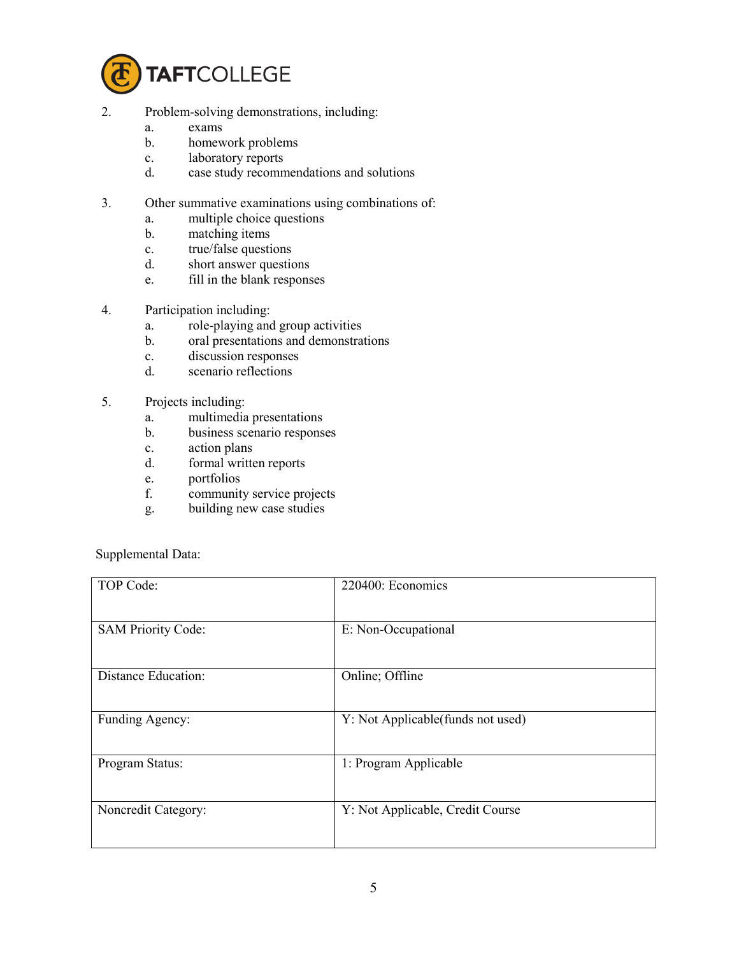

- 2. Problem-solving demonstrations, including:
	- a. exams
	- b. homework problems
	- c. laboratory reports
	- d. case study recommendations and solutions
- 3. Other summative examinations using combinations of:
	- a. multiple choice questions
	- b. matching items
	- c. true/false questions
	- d. short answer questions
	- e. fill in the blank responses
- 4. Participation including:
	- a. role-playing and group activities
	- b. oral presentations and demonstrations
	- c. discussion responses
	- d. scenario reflections
- 5. Projects including:
	- a. multimedia presentations
	- b. business scenario responses
	- c. action plans
	- d. formal written reports
	- e. portfolios
	- f. community service projects
	- g. building new case studies

Supplemental Data:

| TOP Code:                  | 220400: Economics                 |
|----------------------------|-----------------------------------|
| <b>SAM Priority Code:</b>  | E: Non-Occupational               |
| <b>Distance Education:</b> | Online; Offline                   |
| Funding Agency:            | Y: Not Applicable(funds not used) |
| Program Status:            | 1: Program Applicable             |
| Noncredit Category:        | Y: Not Applicable, Credit Course  |